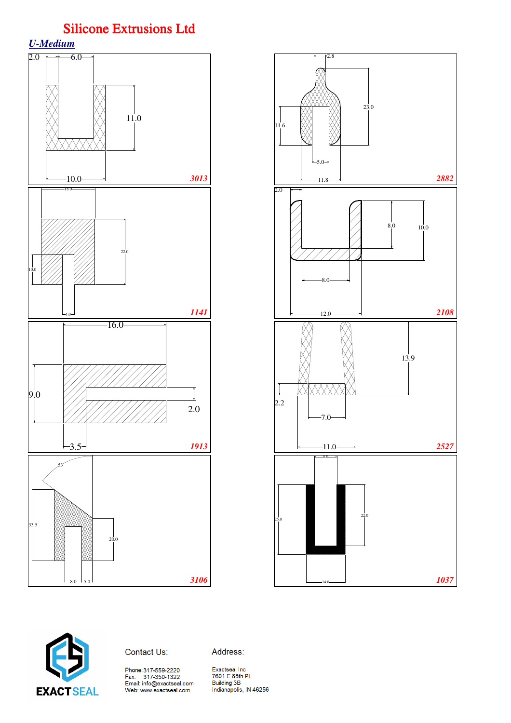*U-Medium*







Address: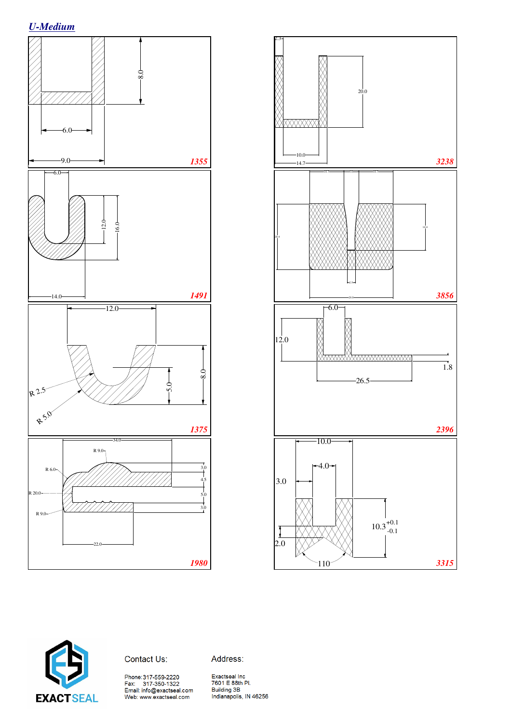







Address:

Phone:317-559-2220<br>Fax: 317-350-1322<br>Email: info@exactseal.com<br>Web: www.exactseal.com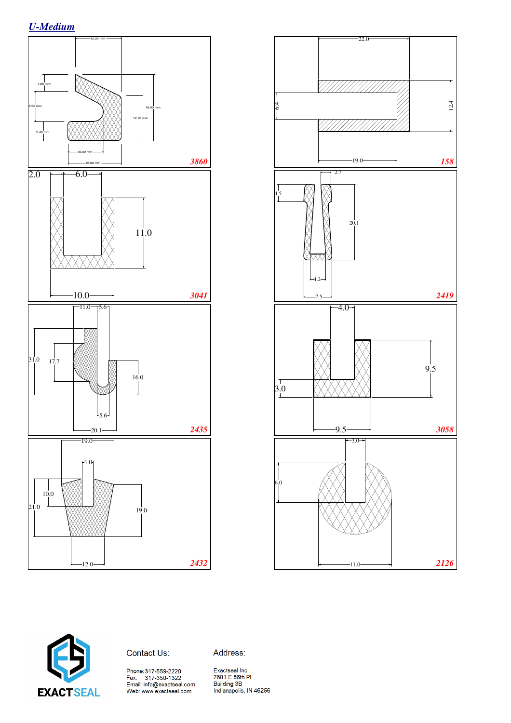





Contact Us:

Address: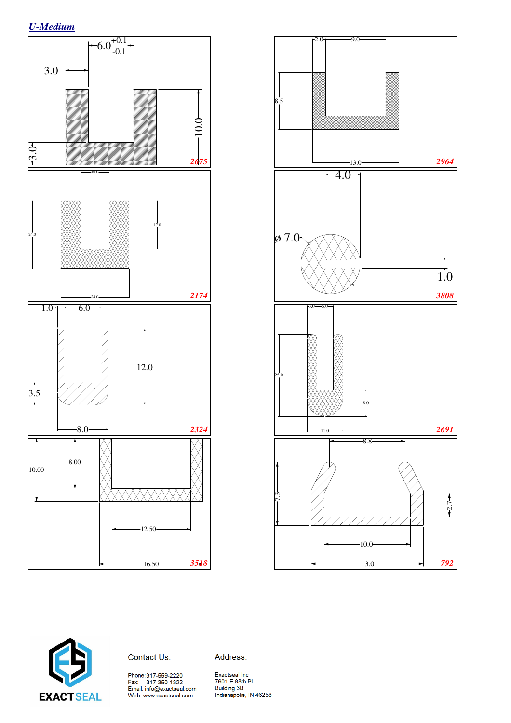*U-Medium*







Address:

Phone:317-559-2220<br>Fax: 317-350-1322<br>Email: info@exactseal.com<br>Web: www.exactseal.com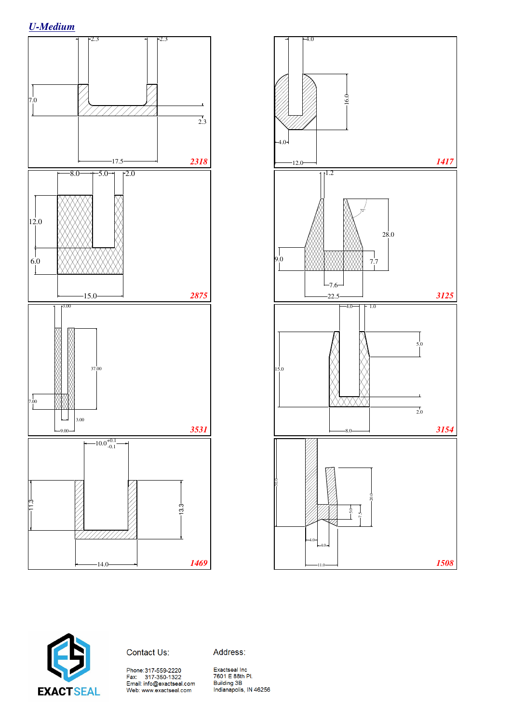





Contact Us:

Address: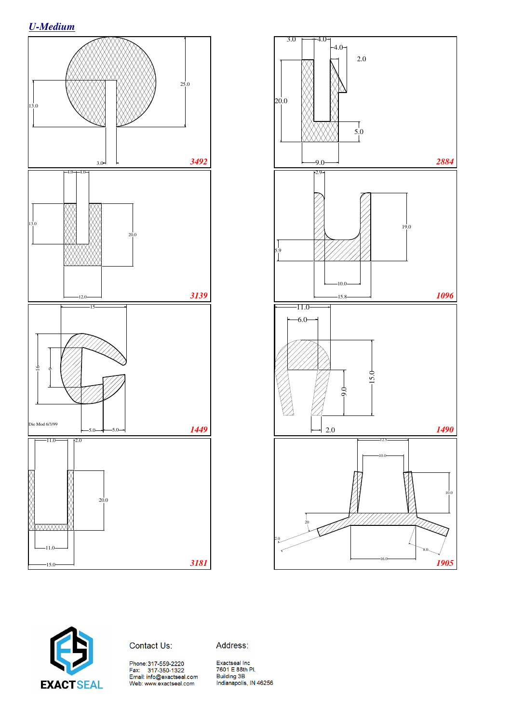*U-Medium*







Address: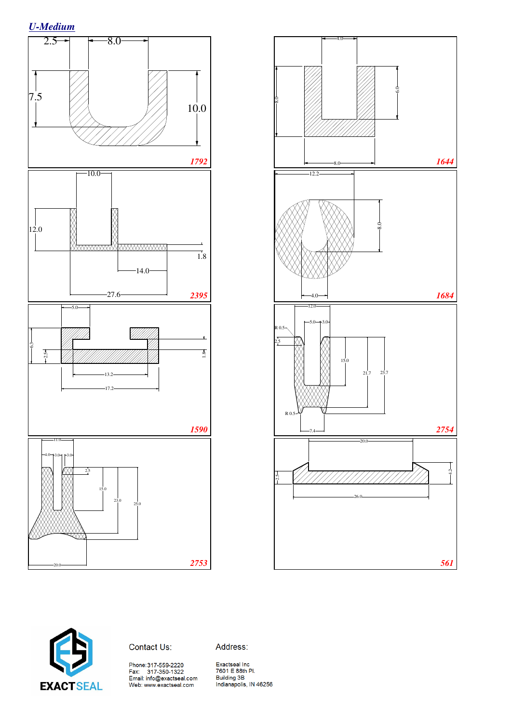





Contact Us:

Address: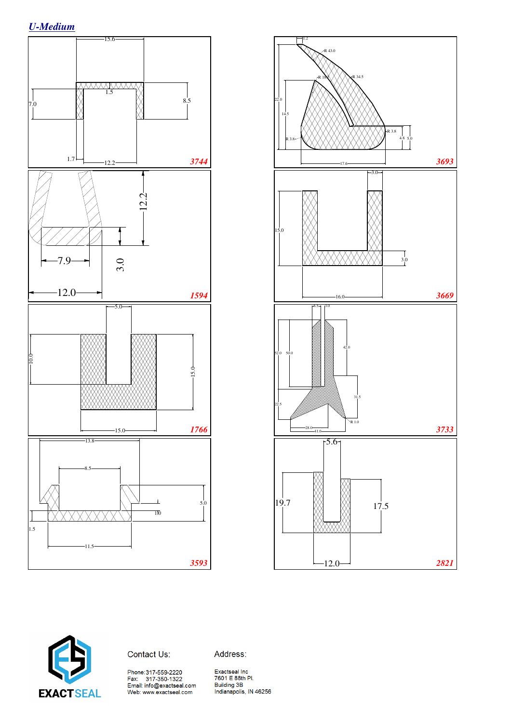





Address:

Phone:317-559-2220<br>Fax: 317-350-1322<br>Email: info@exactseal.com<br>Web: www.exactseal.com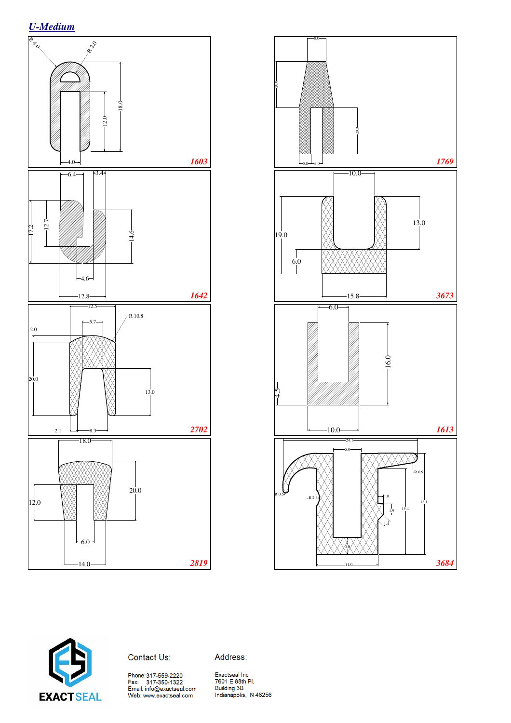





Contact Us:

Address:

Phone:317-559-2220<br>Fax: 317-350-1322<br>Email: info@exactseal.com<br>Web: www.exactseal.com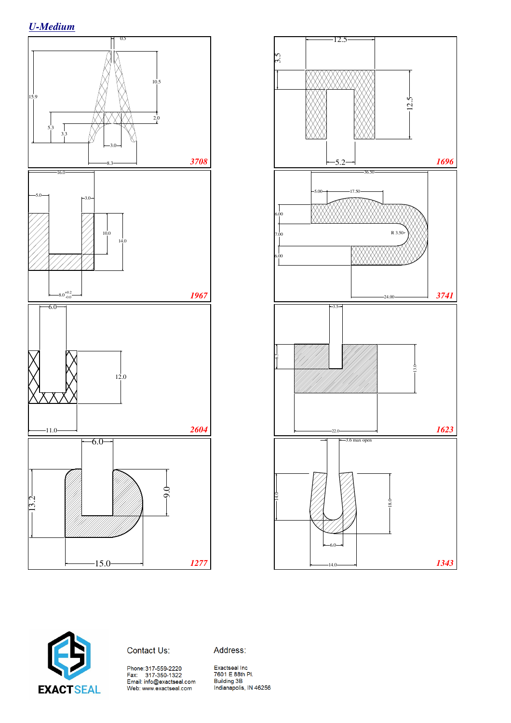*U-Medium*







Address: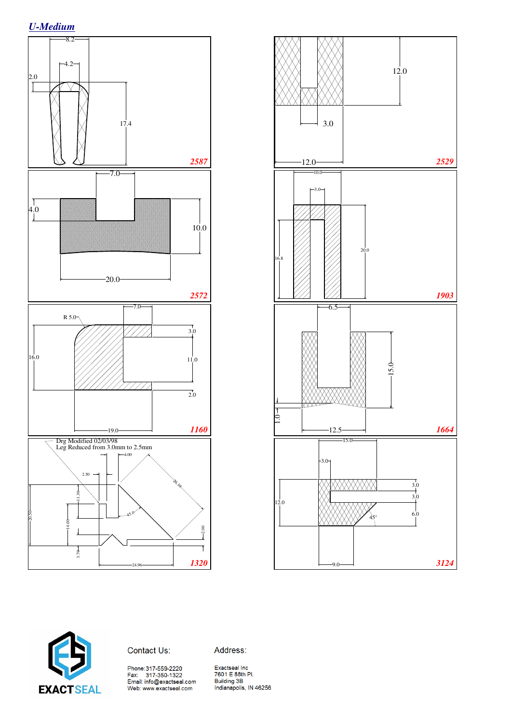







Address: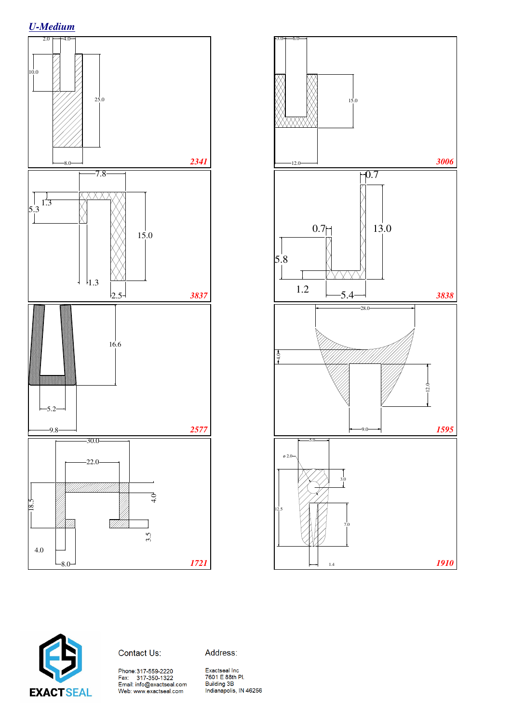





Address: